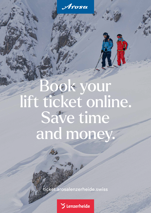Arosa

# Book your lift ticket online. Save time and money.

[ticket.arosalenzerheide.swiss](https://ticket.arosalenzerheide.swiss/en)

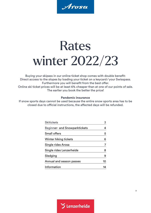Arosa

# Rates winter 2022/23

Buying your skipass in our online ticket shop comes with double benefit: Direct access to the slopes by loading your ticket on a keycard/your Swisspass. Furthermore you will benefit from the best offer. Online ski ticket prices will be at least 6% cheaper than at one of our points of sale. The earlier you book the better the price!

### **Pandemic insurance**

If snow sports days cannot be used because the entire snow sports area has to be closed due to official instructions, the affected days will be refunded.

| <b>Beginner- and Snowparktickets</b><br><b>Small offers</b><br>Winter hiking tickets<br>Single rides Arosa<br>Single rides Lenzerheide<br>Sledging<br>Annual and season passes<br>Information | <b>Skitickets</b> | 3  |
|-----------------------------------------------------------------------------------------------------------------------------------------------------------------------------------------------|-------------------|----|
|                                                                                                                                                                                               |                   | 4  |
|                                                                                                                                                                                               |                   | 5  |
|                                                                                                                                                                                               |                   | 6  |
|                                                                                                                                                                                               |                   |    |
|                                                                                                                                                                                               |                   | 8  |
|                                                                                                                                                                                               |                   | 9  |
|                                                                                                                                                                                               |                   | 10 |
|                                                                                                                                                                                               |                   | 14 |

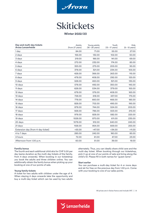

### **Skitickets**

**Winter 2022/23**

<span id="page-2-0"></span>

| Day and multi-day tickets<br>Arosa Lenzerheide | Adults<br>(from 27 years) | Young adults<br>$(18 - 26$ years) | Youth<br>$(13 - 17$ years) | <b>Kids</b><br>$(6 - 12 \text{ years})$ |
|------------------------------------------------|---------------------------|-----------------------------------|----------------------------|-----------------------------------------|
| 1 day                                          | 84.00                     | 71.00                             | 55.00                      | 27.00                                   |
| 2 days                                         | 156.00                    | 132.00                            | 102.00                     | 50.00                                   |
| 3 days                                         | 219.00                    | 186.00                            | 141.00                     | 69.00                                   |
| 4 days                                         | 272.00                    | 232.00                            | 174.00                     | 85.00                                   |
| 5 days                                         | 325.00                    | 275.00                            | 205.00                     | 95.00                                   |
| 6 days                                         | 378.00                    | 321.00                            | 234.00                     | 105.00                                  |
| 7 days                                         | 428.00                    | 366.00                            | 263.00                     | 115.00                                  |
| 8 days                                         | 478.00                    | 408.00                            | 292.00                     | 125.00                                  |
| 9 days                                         | 528.00                    | 450.00                            | 321.00                     | 135.00                                  |
| 10 days                                        | 578.00                    | 492.00                            | 350.00                     | 145.00                                  |
| 11 days                                        | 628.00                    | 534.00                            | 379.00                     | 155.00                                  |
| 12 days                                        | 678.00                    | 576.00                            | 408.00                     | 165.00                                  |
| 13 days                                        | 728.00                    | 618.00                            | 437.00                     | 175.00                                  |
| 14 days                                        | 778.00                    | 660.00                            | 466.00                     | 185.00                                  |
| 15 days                                        | 828.00                    | 702.00                            | 495.00                     | 195.00                                  |
| 16 days                                        | 878.00                    | 744.00                            | 524.00                     | 205.00                                  |
| 17 days                                        | 928.00                    | 786.00                            | 553.00                     | 215.00                                  |
| 18 days                                        | 978.00                    | 828.00                            | 582.00                     | 225.00                                  |
| 19 days                                        | 1028.00                   | 870.00                            | 611.00                     | 235.00                                  |
| 20 days                                        | 1078.00                   | 912.00                            | 640.00                     | 245.00                                  |
| 21 days                                        | 1128.00                   | 954.00                            | 669.00                     | 255.00                                  |
| Extension day (from 4-day ticket)              | $+55.00$                  | $+47.00$                          | $+34.00$                   | $+11.00$                                |
| 4 to 7 days                                    | 285.00                    | 242.00                            | 180.00                     | 85.00                                   |
| 4 hours                                        | 72.00                     | 61.00                             | 47.00                      | 23.00                                   |
| Afternoon from 1.00 p.m.                       | 60.00                     | 51.00                             | 39.00                      | 19.00                                   |

### **Familiy bonus**

The fourth and each additional child skis for CHF 5.00 per day (same duration as the multi-day tickets of the family, from 4 days onwards). When booking in our ticketshop you book the adults and three children online. You can additionally obtain the family bonus when picking up your booking at one of our points of sale.

#### **Young family tickets**

A ticket for two adults with children under the age of 4. When staying 4 days onwards take the opportunity and buy a multi-day ticket which can be used by two adults

alternately. Thus, you can ideally share child care and the multi-day ticket. When booking through our ticketshop, pick it up at one of our points of sale and bring along the child's ID. Please fill in both names for "guest name".

#### **Start earlier**

You can purchase a multi-day ticket for 4 or more days and ski for free on the previous day from 1.00 p.m. Come with your booking to one of our sales points.

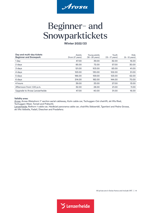

### <span id="page-3-0"></span>Beginner- and Snowparktickets

**Winter 2022/23**

| Day and multi-day tickets<br><b>Beginner and Snowpark</b> | Adults<br>(from 27 years) | Young adults<br>$(18 - 26$ years) | Youth<br>$(13 - 17 \text{ years})$ | <b>Kids</b><br>$(6 - 12 \text{ years})$ |
|-----------------------------------------------------------|---------------------------|-----------------------------------|------------------------------------|-----------------------------------------|
| 1 day                                                     | 47.00                     | 39.00                             | 32.00                              | 16.00                                   |
| 2 days                                                    | 85.00                     | 72.00                             | 57.00                              | 30.00                                   |
| 3 days                                                    | 121.00                    | 103.00                            | 83.00                              | 41.00                                   |
| 4 days                                                    | 153.00                    | 130.00                            | 102.00                             | 51.00                                   |
| 5 days                                                    | 186.00                    | 159.00                            | 123.00                             | 62.00                                   |
| 6 days                                                    | 214.00                    | 182.00                            | 144.00                             | 70.00                                   |
| 4 hours                                                   | 39.00                     | 33.00                             | 27.00                              | 13.00                                   |
| Afternoon from 1.00 p.m.                                  | 32.00                     | 28.00                             | 21.00                              | 11.00                                   |
| Upgrade to Arosa Lenzerheide                              | 47.00                     | 40.00                             | 31.00                              | 16.00                                   |
|                                                           |                           |                                   |                                    |                                         |

### **Validity area:**

Arosa: Arosa-Weisshorn 1st section aerial cableway, Kulm cable car, Tschuggen-Ost chairlift, ski lifts Ried, Tschuggen-West, Tomeli and Prätschli.

Lenzerheide: Rothorn 1 cable car, Heidbüel panorama cable car, chairlifts Stätzertäli, Tgantieni and Pedra Grossa, ski lifts Valbella, Fadail, Dieschen and Pradafenz.

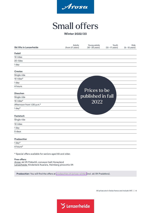

## Small offers

**Winter 2022/23**

<span id="page-4-0"></span>

| <b>Ski lifts in Lenzerheide</b> | Adults<br>(from 27 years) | Young adults<br>$(18 - 26$ years) | Youth<br>$(13 - 17 \text{ years})$ | Kids<br>$(6 - 12 \text{ years})$ |
|---------------------------------|---------------------------|-----------------------------------|------------------------------------|----------------------------------|
| <b>Fadail</b>                   |                           |                                   |                                    |                                  |
| 10 rides                        |                           |                                   |                                    |                                  |
| 20 rides                        |                           |                                   |                                    |                                  |
| 1 day                           |                           |                                   |                                    |                                  |
| <b>Crestas</b>                  |                           |                                   |                                    |                                  |
| Single ride                     |                           |                                   |                                    |                                  |
| 10 rides*                       |                           |                                   |                                    |                                  |
| 1 day                           |                           |                                   |                                    |                                  |
| 4 hours                         |                           |                                   |                                    |                                  |
| <b>Dieschen</b>                 |                           | Prices to be                      |                                    |                                  |
| Single ride                     |                           | published in fall                 |                                    |                                  |
| 10 rides*                       |                           | 2022                              |                                    |                                  |
| Afternoon from 1.30 p.m.*       |                           |                                   |                                    |                                  |
| 1 day*                          |                           |                                   |                                    |                                  |
| <b>Fastatsch</b>                |                           |                                   |                                    |                                  |
| Single ride                     |                           |                                   |                                    |                                  |
| 10 rides                        |                           |                                   |                                    |                                  |
| 1 day                           |                           |                                   |                                    |                                  |
| 5 days                          |                           |                                   |                                    |                                  |
| Pradaschier                     |                           |                                   |                                    |                                  |
| 1 day*                          |                           |                                   |                                    |                                  |
| 4 hours*                        |                           |                                   |                                    |                                  |

\* Special offers available for seniors aged 65 and older.

### **Free offers:**

Arosa: ski lift Prätschli, conveyor belt Honeyland Lenzerheide: Kinderland Auarara, Heimberg pinocchio lift

**Pradaschier:** You will find the offers at [pradaschier.ch/prices-winter](https://www.pradaschier.ch/en/prices-winter/) (incl. ski lift Pradafenz).

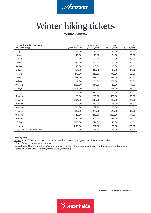

## <span id="page-5-0"></span>Winter hiking tickets

**Winter 2022/23**

| Day and multi-day tickets<br><b>Winter hiking</b> | Adults<br>(from 27 years) | Young adults<br>$(18 - 26 \text{ years})$ | Youth<br>$(13 - 17 \text{ years})$ | <b>Kids</b><br>$(6 - 12 \text{ years})$ |
|---------------------------------------------------|---------------------------|-------------------------------------------|------------------------------------|-----------------------------------------|
| 1 day                                             | 53.00                     | 45.00                                     | 35.00                              | 18.00                                   |
| 2 days                                            | 77.00                     | 66.00                                     | 51.00                              | 26.00                                   |
| 3 days                                            | 102.00                    | 87.00                                     | 69.00                              | 33.00                                   |
| 4 days                                            | 120.00                    | 102.00                                    | 80.00                              | 40.00                                   |
| 5 days                                            | 140.00                    | 120.00                                    | 95.00                              | 47.00                                   |
| 6 days                                            | 156.00                    | 132.00                                    | 105.00                             | 51.00                                   |
| 7 days                                            | 172.00                    | 145.00                                    | 115.00                             | 56.00                                   |
| 8 days                                            | 188.00                    | 158.00                                    | 125.00                             | 61.00                                   |
| 9 days                                            | 204.00                    | 171.00                                    | 135.00                             | 66.00                                   |
| 10 days                                           | 220.00                    | 184.00                                    | 145.00                             | 71.00                                   |
| 11 days                                           | 236.00                    | 197.00                                    | 155.00                             | 76.00                                   |
| 12 days                                           | 252.00                    | 210.00                                    | 165.00                             | 81.00                                   |
| 13 days                                           | 268.00                    | 223.00                                    | 175.00                             | 86.00                                   |
| 14 days                                           | 284.00                    | 236.00                                    | 185.00                             | 91.00                                   |
| 15 days                                           | 300.00                    | 249.00                                    | 195.00                             | 96.00                                   |
| 16 days                                           | 316.00                    | 262.00                                    | 205.00                             | 101.00                                  |
| 17 days                                           | 332.00                    | 275.00                                    | 215.00                             | 106.00                                  |
| 18 days                                           | 348.00                    | 288.00                                    | 225.00                             | 111.00                                  |
| 19 days                                           | 364.00                    | 301.00                                    | 235.00                             | 116.00                                  |
| 20 days                                           | 380.00                    | 314.00                                    | 245.00                             | 121.00                                  |
| 21 days                                           | 396.00                    | 327.00                                    | 255.00                             | 126.00                                  |
| Upgrade 1 day to skiticket                        | 50.00                     | 43.00                                     | 33.00                              | 16.00                                   |

#### **Validity area:**

Arosa: Arosa-Weisshorn 1st section and 2<sup>nd</sup> section cable car, Brüggerhorn chairlift, Kulm cable car, Hörnli-Express, Urden aerial tramway.

Lenzerheide: Cable car Rothorn 1, aerial tramway Rothorn 2, panorama cable car Heidbüel, chairlifts Tgantieni, Scalottas, Pedra Grossa, Motta, Urdenfürggli, Heimberg.

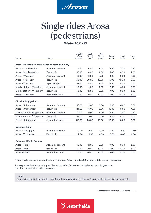

### <span id="page-6-0"></span>Single rides Arosa (pedestrians)

**Winter 2022/23**

| Route                                                           | Ride(s)           | Adults<br>(from<br>18 years) | Youth<br>$(13 - 17)$<br>years) | <b>Kids</b><br>$(6 - 12)$<br>years) | Local<br>adults | Local<br>Youth | Local<br>kids     |
|-----------------------------------------------------------------|-------------------|------------------------------|--------------------------------|-------------------------------------|-----------------|----------------|-------------------|
| Arosa-Weisshorn 1st and 2 <sup>nd</sup> section aerial cableway |                   |                              |                                |                                     |                 |                |                   |
| Arosa - Middle station                                          | Ascent or descent | 9.00                         | 6.00                           | 3.00                                | 4.50            | 3.00           | 1.50              |
| Arosa – Middle station                                          | Return trip       | 12.00                        | 8.00                           | 4.00                                | 6.00            | 4.00           | 2.00              |
| Arosa - Weisshorn                                               | Ascent or descent | 18.00                        | 12.00                          | 6.00                                | 9.00            | 6.00           | 3.00              |
| Arosa – Weisshorn                                               | Return trip       | 30.00                        | 20.00                          | 10.00                               | 15.00           | 10.00          | 5.00              |
| Arosa – Weisshorn                                               | 3 partial trips*  | 27.00                        | 18.00                          | 9.00                                | 13.50           | 9.00           | 4.50              |
| Middle station - Weisshorn                                      | Ascent or descent | 13.00                        | 9.00                           | 4.00                                | 6.50            | 4.50           | 2.00              |
| Middle station - Weisshorn                                      | Return trip       | 18.00                        | 12.00                          | 6.00                                | 9.00            | 6.00           | 3.00              |
| Arosa – Weisshorn                                               | Ascent for skiers | 30.00                        | 20.00                          | 10.00                               | 15.00           | 10.00          | 5.00              |
| <b>Chairlift Brüggerhorn</b>                                    |                   |                              |                                |                                     |                 |                |                   |
| Arosa - Brüggerhorn                                             | Ascent or descent | 18.00                        | 12.00                          | 6.00                                | 9.00            | 6.00           | 3.00              |
| Arosa - Brüggerhorn                                             | Return trip       | 24.00                        | 16.00                          | 8.00                                | 12.00           | 8.00           | 4.00              |
| Middle station - Brüggerhorn                                    | Ascent or descent | 9.00                         | 6.00                           | 3.00                                | 4.50            | 3.00           | 1.50              |
| Middle station - Brüggerhorn                                    | Return trip       | 14.00                        | 9.00                           | 5.00                                | 7.00            | 4.50           | 2.50              |
| Arosa - Brüggerhorn                                             | Ascent for skiers | 30.00                        | 20.00                          | 10.00                               | 15.00           | 10.00          | 5.00              |
| Cable car Kulm                                                  |                   |                              |                                |                                     |                 |                |                   |
| Arosa – Tschuggen                                               | Ascent or descent | 9.00                         | 6.00                           | 3.00                                | 4.50            | 3.50           | 1.50 <sub>1</sub> |
| Arosa-Tschuggen                                                 | Return trip       | 12.00                        | 8.00                           | 4.00                                | 6.00            | 4.00           | 2.00              |
| Cable car Hörnli-Express                                        |                   |                              |                                |                                     |                 |                |                   |
| Arosa - Hörnli                                                  | Ascent or descent | 18.00                        | 12.00                          | 6.00                                | 9.00            | 6.00           | 3.00              |
| Arosa - Hörnli                                                  | Return trip       | 30.00                        | 20.00                          | 10.00                               | 15.00           | 10.00          | 5.00              |
| Arosa - Hörnli                                                  | Ascent for skiers | 30.00                        | 20.00                          | 10.00                               | 15.00           | 10.00          | 5.00              |

\*Three single rides can be combined on the routes Arosa–middle station and middle station–Weisshorn.

Snow-sport enthusiasts can buy an "Ascent for skiers" ticket for the Weisshorn and Brüggerhorn. The other rides are for pedestrians only.

**Locals:**

By showing a valid local identity card from the municipalities of Chur or Arosa, locals will receive the local rate.

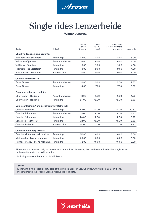

## <span id="page-7-0"></span>Single rides Lenzerheide

### **Winter 2022/23**

|                                                  |                   | <b>Adults</b><br>(from | <b>Kids</b><br>$(6 - 15)$ | Adults with<br>SBB-GA/Half fare |            |
|--------------------------------------------------|-------------------|------------------------|---------------------------|---------------------------------|------------|
| Route                                            | Ride(s)           | 16 years)              | years)                    | and locals                      | Local kids |
| <b>Chairlifts Tgantieni and Scalottas</b>        |                   |                        |                           |                                 |            |
| Val Sporz-Piz Scalottas*                         | Return trip       | 24.00                  | 12.00                     | 12.00                           | 6.00       |
| Val Sporz-Tgantieni                              | Ascent or descent | 12.00                  | 6.00                      | 6.00                            | 3.00       |
| Val Sporz-Tgantieni                              | Return trip       | 18.00                  | 9.00                      | 9.00                            | 4.50       |
| Tgantieni – Piz Scalottas*                       | Return trip       | 18.00                  | 9.00                      | 9.00                            | 4.50       |
| Val Sporz - Piz Scalottas*                       | 3 partial trips   | 20.00                  | 10.00                     | 10.00                           | 5.00       |
| <b>Chairlift Pedra Grossa</b>                    |                   |                        |                           |                                 |            |
| Pedra Grossa                                     | Ascent or descent | 10.00                  | 5.00                      | 5.00                            | 2.50       |
| Pedra Grossa                                     | Return trip       | 14.00                  | 7.00                      | 7.00                            | 3.50       |
| Panorama cable car Heidbüel                      |                   |                        |                           |                                 |            |
| Churwalden - Heidbüel                            | Ascent or descent | 18.00                  | 9.00                      | 9.00                            | 4.50       |
| Churwalden - Heidbüel                            | Return trip       | 24.00                  | 12.00                     | 12.00                           | 6.00       |
| Cable car Rothorn 1 and aerial tramway Rothorn 2 |                   |                        |                           |                                 |            |
| Canols-Rothorn*                                  | Return trip       | 42.00                  | 21.00                     | 21.00                           | 10.50      |
| Canols-Scharmoin                                 | Ascent or descent | 18.00                  | 9.00                      | 9.00                            | 4.50       |
| Canols-Scharmoin                                 | Return trip       | 24.00                  | 12.00                     | 12.00                           | 6.00       |
| Scharmoin-Rothorn*                               | Return trip       | 32.00                  | 16.00                     | 16.00                           | 8.00       |
| Canols-Rothorn*                                  | 3 partial trips   | 34.00                  | 17.00                     | 17.00                           | 8.50       |
| <b>Chairlifts Heimberg / Motta</b>               |                   |                        |                           |                                 |            |
| Canols – Motta mountain station**                | Return trip       | 32.00                  | 16.00                     | 16.00                           | 8.00       |
| Motta valley - Motta mountain                    | Return trip       | 20.00                  | 10.00                     | 10.00                           | 5.00       |
| Heimberg valley - Motta mountain                 | Return trip       | 32.00                  | 16.00                     | 16.00                           | 8.00       |
|                                                  |                   |                        |                           |                                 |            |

\* The trip to the peak can only be booked as a return ticket. However, this can be combined with a single ascent or descent from/to the middle station.

\*\* Including cable car Rothorn 1, chairlift Motta

### **Locals:**

By showing a valid local identity card of the municipalities of Vaz/Obervaz, Churwalden, Lantsch/Lenz, Brienz/Brinzauls incl. Vazerol, locals receive the local rate.

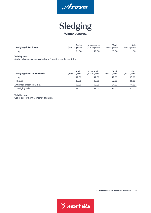

### Sledging **Winter 2022/23**

<span id="page-8-0"></span>

| <b>Sledging ticket Arosa</b> | Adults          | Young adults    | Youth                     | <b>Kids</b>              |
|------------------------------|-----------------|-----------------|---------------------------|--------------------------|
|                              | (from 27 years) | (18 – 26 years) | $(13 - 17 \text{ years})$ | $(6 - 12 \text{ years})$ |
| 1 day                        | 31.00           | 27.00           | 20.00                     | 11.00                    |

### **Validity area:**

Aerial cableway Arosa-Weisshorn 1st section, cable car Kulm

| <b>Sledging ticket Lenzerheide</b> | <b>Adults</b><br>(from 27 years) | Young adults<br>$(18 - 26 \text{ years})$ | Youth<br>$(13 - 17 \text{ years})$ | <b>Kids</b><br>$(6 - 12 \text{ years})$ |
|------------------------------------|----------------------------------|-------------------------------------------|------------------------------------|-----------------------------------------|
| 1 day                              | 47.00                            | 47.00                                     | 32.00                              | 16.00                                   |
| 4 hours                            | 39.00                            | 39.00                                     | 27.00                              | 13.00                                   |
| Afternoon from 1.00 p.m.           | 32.00                            | 32.00                                     | 21.00                              | 11.00                                   |
| 1 sledging ride                    | 22.00                            | 19.00                                     | 15.00                              | 10.00                                   |

**Validity area:** 

Cable car Rothorn 1, chairlift Tgantieni

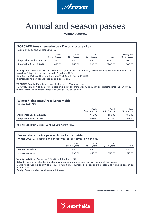

### <span id="page-9-0"></span>Annual and season passes

**Winter 2022/23**

### **TOPCARD Arosa Lenzerheide / Davos Klosters / Laax**

Summer 2022 and winter 2022/23

|                                  | Adults<br>(from 18 years) | Youth<br>$(13 - 17 \text{ years})$ | Kids<br>$(6 - 12 \text{ years})$ | Family  | <b>Family Plus</b><br>$(18 - 35 \text{ years})$ |
|----------------------------------|---------------------------|------------------------------------|----------------------------------|---------|-------------------------------------------------|
| Acquisition until 30.4.2022      | 1200.00                   | 825.00                             | 445.00                           | 2650.00 | 300.00                                          |
| <b>Acquisition from 1.5.2022</b> | 1450.00                   | 960.00                             | 505.00                           | 2900.00 | 300.00                                          |

**Validity areas:** The TOPCARD is valid for ski regions Arosa Lenzerheide, Davos Klosters (excl. Schatzalp) and Laax as well as 3 days of your own choice in Engelberg-Titlis. Validity: The TOPCARD is valid from May 1<sup>st</sup> 2022 until April 30<sup>th</sup> 2023.

**Bike transport:** Included (as soon as bike operation).

**TOPCARD Family:** Parents and own children up to 17 years of age. **TOPCARD Family Plus:** Family members (own adult children) aged 18 to 35 can be integrated into the TOPCARD family. This for an additional amount of CHF 300.00 per person.

### **Winter hiking pass Arosa Lenzerheide**

Winter 2022/23

|                             | Adults<br>(from 18 years) | Youth<br>$(13 - 17 \text{ years})$ | Kids<br>$(6 - 12 \text{ years})$ |
|-----------------------------|---------------------------|------------------------------------|----------------------------------|
| Acquisition until 30.4.2022 | 450.00                    | 300.00                             | 150.00                           |
| Acquisition from 1.5.2022   | 495.00                    | 330.00                             | 165.00                           |

Validity: Valid from October 29<sup>th</sup> 2022 until April 16<sup>th</sup> 2023.

### **Season daily choice passes Arosa Lenzerheide**

Winter 2022/23: Feel free and choose your ski day at your own choice.

|                           | Adults<br>(from 18 years) | Youth<br>$(13 - 17 \text{ years})$ | Kids<br>$(6 - 12 \text{ years})$ | Family  |
|---------------------------|---------------------------|------------------------------------|----------------------------------|---------|
| <b>10 days per saison</b> | 680.00                    | 450.00                             | 220.00                           | 1580.00 |
| <b>15 days per saison</b> | 990.00                    | 660.00                             | 330.00                           | 2310.00 |

Validity: Valid from December 3<sup>rd</sup> 2022 until April 16<sup>th</sup> 2023.

**Refund:** There is no refund or transfer of your remaining winter sport days at the end of the season.

**Single rides:** Can be bought at a reduced rate (50% reduction) by depositing the season daily choice pass at our point of sale.

**Family:** Parents and own children until 17 years.

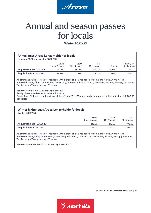

### Annual and season passes for locals

**Winter 2022/23**

### **Annual pass Arosa Lenzerheide for locals**

Summer 2022 and winter 2022/23

|                             | <b>Adults</b><br>(from 18 years) | Youth<br>$(13 - 17 \text{ years})$ | Kids<br>$(6 - 12 \text{ years})$ | Family  | Family Plus<br>$(18 - 35 \text{ years})$ |
|-----------------------------|----------------------------------|------------------------------------|----------------------------------|---------|------------------------------------------|
| Acquisition until 30.4.2022 | 825.00                           | 545.00                             | 270.00                           | 1700.00 | 280.00                                   |
| Acquisition from 1.5.2022   | 1015.00                          | 675.00                             | 330.00                           | 2070.00 | 280.00                                   |

All offers and rates are valid for residents with a proof of local residence of commune Albula/Alvra, Arosa, Brienz/Brinzauls, Chur, Churwalden, Domleschg, Fürstenau, Lantsch/Lenz, Maladers, Paspels, Passugg, Scharans, Tschiertschen/Praden and Vaz/Overvaz.

**Validity:** from May 1st 2022 until April 30th 2023

**Family:** Parents and own children until 17 years

**Family Plus:** All family members (own children) from 18 to 35 years can be integrated in the family for CHF 280.00 per person.

### **Winter hiking pass Arosa Lenzerheide for locals**

Winter 2022/23

|                                  | <b>Adults</b><br>(from 18 years) | Youth<br>$(13 - 17$ years) | Kids<br>$(6 - 12 \text{ years})$ |
|----------------------------------|----------------------------------|----------------------------|----------------------------------|
| Acquisition until 30.4.2022      | 315.00                           | 210.00                     | 105.00                           |
| <b>Acquisition from 1.5.2022</b> | 345.00                           | 230.00                     | 115.00                           |

All offers and rates are valid for residents with a proof of local residence of commune Albula/Alvra, Arosa, Brienz/Brinzauls, Chur, Churwalden, Domleschg, Fürstenau, Lantsch/Lenz, Maladers, Paspels, Passugg, Scharans, Tschiertschen/Praden and Vaz/Overvaz.

Validity: from October 29<sup>th</sup> 2022 until April 30<sup>th</sup> 2023.

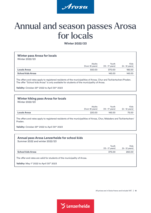

### Annual and season passes Arosa for locals

**Winter 2022/23**

### **Winter pass Arosa for locals**

Winter 2022/23

|                          | <b>Adults</b><br>(from 18 years) | Youth<br>$(13 - 17 \text{ years})$ | Kids<br>$(6 - 12 \text{ years})$ |
|--------------------------|----------------------------------|------------------------------------|----------------------------------|
| <b>Locals Arosa</b>      | 550.00                           | 370.00                             | 185.00                           |
| <b>School kids Arosa</b> |                                  | 145.00                             | 145.00                           |

The offers and rates apply to registered residents of the municipalities of Arosa, Chur and Tschiertschen/Praden. The offer "School kids Arosa" is only available for students of the municipality of Arosa.

Validity: October 29<sup>th</sup> 2022 to April 30<sup>th</sup> 2023

### **Winter hiking pass Arosa for locals**

Winter 2022/23

|                     | Adults          | Youth                     | <b>Kids</b>              |
|---------------------|-----------------|---------------------------|--------------------------|
|                     | (from 18 years) | $(13 - 17 \text{ years})$ | $(6 - 12 \text{ years})$ |
| <b>Locals Arosa</b> | 220.00          | 145.00                    | 75.00                    |

The offers and rates apply to registered residents of the municipalities of Arosa, Chur, Maladers and Tschiertschen/ Praden.

Validity: October 29<sup>th</sup> 2022 to April 30<sup>th</sup> 2023

### **Annual pass Arosa Lenzerheide for school kids**

Summer 2022 and winter 2022/23

|                   | Youth<br>(13 – 17 years) | Kids<br>$(6 - 12 \text{ years})$ |
|-------------------|--------------------------|----------------------------------|
| School kids Arosa | 375.00                   | 260.00                           |
|                   |                          |                                  |

The offer and rates are valid for students of the municipality of Arosa.

Validity: May 1<sup>st</sup> 2022 to April 30<sup>th</sup> 2023

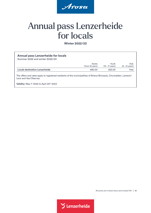

### Annual pass Lenzerheide for locals

**Winter 2022/23**

| <b>Annual pass Lenzerheide for locals</b><br>Summer 2022 and winter 2022/23                                                                 |                           |                                    |                                  |
|---------------------------------------------------------------------------------------------------------------------------------------------|---------------------------|------------------------------------|----------------------------------|
|                                                                                                                                             | Adults<br>(from 18 years) | Youth<br>$(13 - 17 \text{ years})$ | Kids<br>$(6 - 12 \text{ years})$ |
| <b>Locals destination Lenzerheide</b>                                                                                                       | 680.00                    | 225.00                             | free                             |
| The offers and rates apply to registered residents of the municipalities of Brienz/Brinzauls, Churwalden, Lantsch/<br>Lenz and Vaz/Obervaz. |                           |                                    |                                  |

Validity: May 1st 2022 to April 30<sup>th</sup> 2023

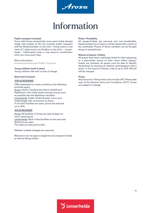

### Information

<span id="page-13-0"></span>**Public transport included**

Every valid Arosa Lenzerheide snow sport ticket (except single ride tickets) of this list includes public transport with the Rhätische Bahn on the Chur–Arosa route or vice versa (2<sup>nd</sup> class) and/or by PostBus on the Chur - Lenzerheide – Tiefencastel route or vice versa (in combination with your snow sport day).

#### More information:

[arosalenzerheide.swiss/Public-Transport](https://arosalenzerheide.swiss/en/Ski-Area/Up-to-date/Public-Transport)

#### **Young children (until 5 years)**

Young children ride with us free of charge.

### **Start/end of season**

#### 3.12. to 16.12.2022

Offer dependent on snow conditions; the following priorities apply: Arosa: Hörnli, including the Hörnli chairlift and Plattenhorn, the Urden aerial tramway and as soon as possible also the Weisshorn facilities. Lenzerheide: Fadail / Pedra Grossa / Lavoz and Urdenfürggli with connection to Arosa. If only few facilities are open, prices are reduced up to 30%.

#### 3.4. to 16.4.2023

Arosa: All facilities in Arosa are open (subject to minor restrictions). Lenzerheide: Most of the facilities on the east side (Rothorn) are open. The rates are reduced by 20%.

Weather-related changes are reserved.

Reductions do not apply to beginner and snowpark tickets as well as hiking tickets.

#### **Photo/Portability**

All passes/tickets are personal and non-transferable. Passes/tickets from 4 days on will be issued with a photo of the cardholder. Photos of family members can be brought along on smartphones.

#### **Misuse of passes/tickets**

All guests must have a valid pass/ticket for their age group or a pass/ticket issued on their name. When passes/ tickets are checked, all guests must be able to identify themselves by showing an identity card/passport with a photo. In the event of misuse, a fee of up to CHF 500.00 will be charged.

#### **Prices**

All prices are in Swiss francs and include VAT. Please take note of the General Terms and Conditions (GTC). Prices are subject to change.